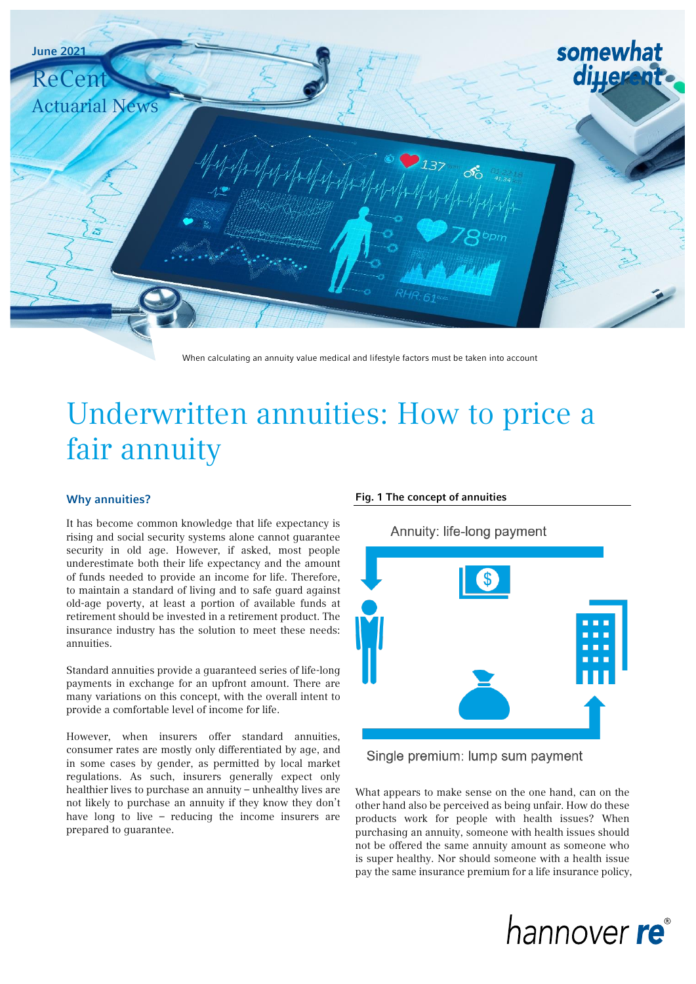

When calculating an annuity value medical and lifestyle factors must be taken into account

# Underwritten annuities: How to price a fair annuity

### Why annuities?

It has become common knowledge that life expectancy is rising and social security systems alone cannot guarantee security in old age. However, if asked, most people underestimate both their life expectancy and the amount of funds needed to provide an income for life. Therefore, to maintain a standard of living and to safe guard against old-age poverty, at least a portion of available funds at retirement should be invested in a retirement product. The insurance industry has the solution to meet these needs: annuities.

Standard annuities provide a guaranteed series of life-long payments in exchange for an upfront amount. There are many variations on this concept, with the overall intent to provide a comfortable level of income for life.

However, when insurers offer standard annuities, consumer rates are mostly only differentiated by age, and in some cases by gender, as permitted by local market regulations. As such, insurers generally expect only healthier lives to purchase an annuity – unhealthy lives are not likely to purchase an annuity if they know they don't have long to live – reducing the income insurers are prepared to guarantee.

#### Fig. 1 The concept of annuities

Annuity: life-long payment



Single premium: lump sum payment

What appears to make sense on the one hand, can on the other hand also be perceived as being unfair. How do these products work for people with health issues? When purchasing an annuity, someone with health issues should not be offered the same annuity amount as someone who is super healthy. Nor should someone with a health issue pay the same insurance premium for a life insurance policy,

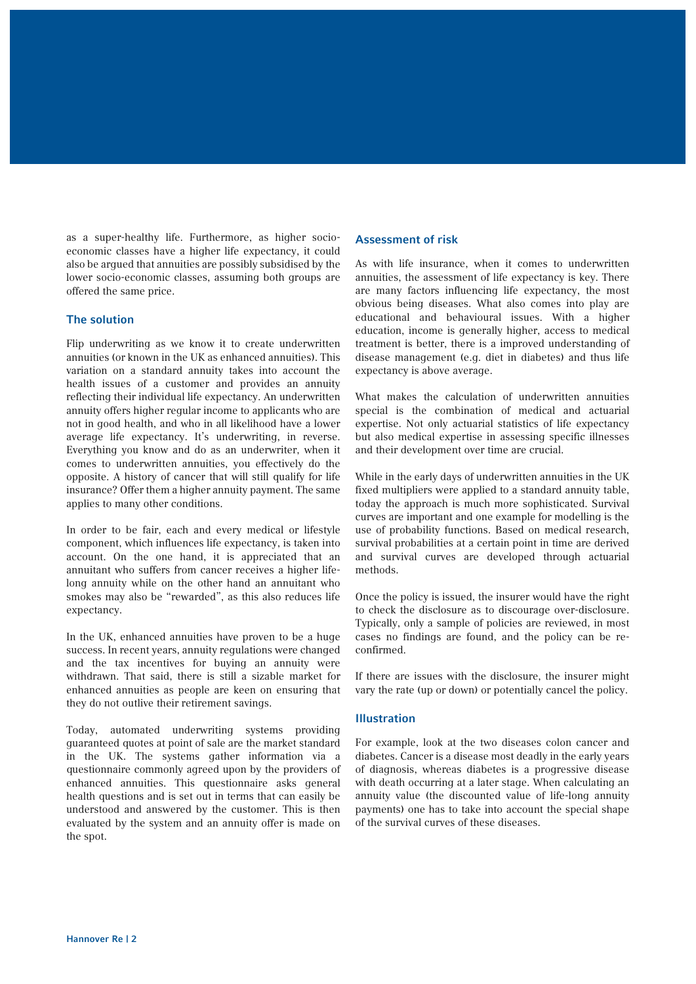as a super-healthy life. Furthermore, as higher socioeconomic classes have a higher life expectancy, it could also be argued that annuities are possibly subsidised by the lower socio-economic classes, assuming both groups are offered the same price.

### The solution

Flip underwriting as we know it to create underwritten annuities (or known in the UK as enhanced annuities). This variation on a standard annuity takes into account the health issues of a customer and provides an annuity reflecting their individual life expectancy. An underwritten annuity offers higher regular income to applicants who are not in good health, and who in all likelihood have a lower average life expectancy. It's underwriting, in reverse. Everything you know and do as an underwriter, when it comes to underwritten annuities, you effectively do the opposite. A history of cancer that will still qualify for life insurance? Offer them a higher annuity payment. The same applies to many other conditions.

In order to be fair, each and every medical or lifestyle component, which influences life expectancy, is taken into account. On the one hand, it is appreciated that an annuitant who suffers from cancer receives a higher lifelong annuity while on the other hand an annuitant who smokes may also be "rewarded", as this also reduces life expectancy.

In the UK, enhanced annuities have proven to be a huge success. In recent years, annuity regulations were changed and the tax incentives for buying an annuity were withdrawn. That said, there is still a sizable market for enhanced annuities as people are keen on ensuring that they do not outlive their retirement savings.

Today, automated underwriting systems providing guaranteed quotes at point of sale are the market standard in the UK. The systems gather information via a questionnaire commonly agreed upon by the providers of enhanced annuities. This questionnaire asks general health questions and is set out in terms that can easily be understood and answered by the customer. This is then evaluated by the system and an annuity offer is made on the spot.

#### Assessment of risk

As with life insurance, when it comes to underwritten annuities, the assessment of life expectancy is key. There are many factors influencing life expectancy, the most obvious being diseases. What also comes into play are educational and behavioural issues. With a higher education, income is generally higher, access to medical treatment is better, there is a improved understanding of disease management (e.g. diet in diabetes) and thus life expectancy is above average.

What makes the calculation of underwritten annuities special is the combination of medical and actuarial expertise. Not only actuarial statistics of life expectancy but also medical expertise in assessing specific illnesses and their development over time are crucial.

While in the early days of underwritten annuities in the UK fixed multipliers were applied to a standard annuity table, today the approach is much more sophisticated. Survival curves are important and one example for modelling is the use of probability functions. Based on medical research, survival probabilities at a certain point in time are derived and survival curves are developed through actuarial methods.

Once the policy is issued, the insurer would have the right to check the disclosure as to discourage over-disclosure. Typically, only a sample of policies are reviewed, in most cases no findings are found, and the policy can be reconfirmed.

If there are issues with the disclosure, the insurer might vary the rate (up or down) or potentially cancel the policy.

#### Illustration

For example, look at the two diseases colon cancer and diabetes. Cancer is a disease most deadly in the early years of diagnosis, whereas diabetes is a progressive disease with death occurring at a later stage. When calculating an annuity value (the discounted value of life-long annuity payments) one has to take into account the special shape of the survival curves of these diseases.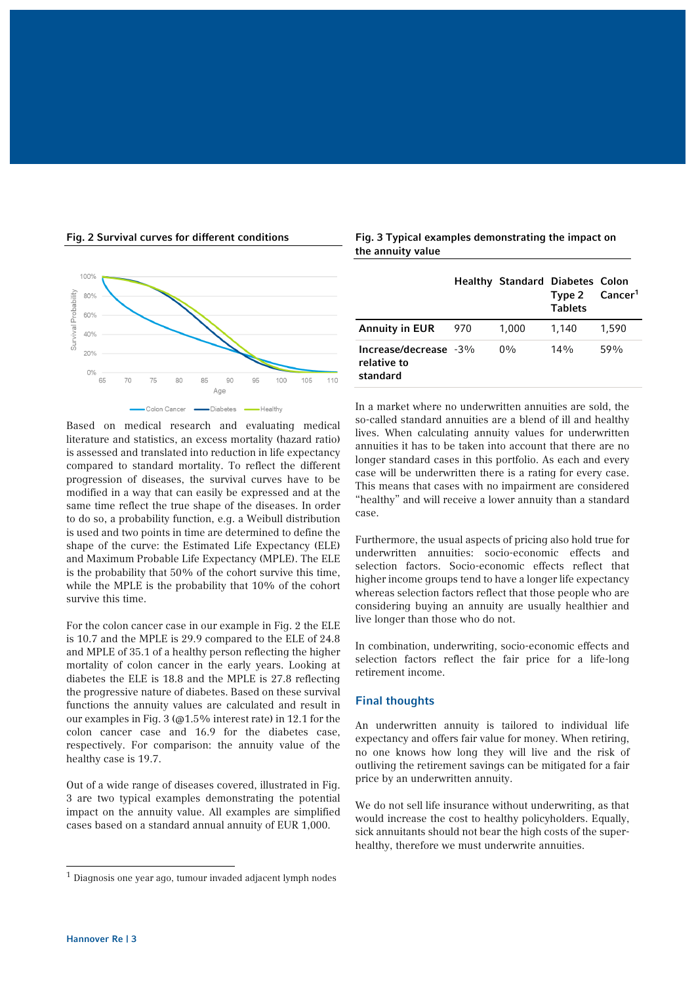



Based on medical research and evaluating medical literature and statistics, an excess mortality (hazard ratio) is assessed and translated into reduction in life expectancy compared to standard mortality. To reflect the different progression of diseases, the survival curves have to be modified in a way that can easily be expressed and at the same time reflect the true shape of the diseases. In order to do so, a probability function, e.g. a Weibull distribution is used and two points in time are determined to define the shape of the curve: the Estimated Life Expectancy (ELE) and Maximum Probable Life Expectancy (MPLE). The ELE is the probability that 50% of the cohort survive this time, while the MPLE is the probability that 10% of the cohort survive this time.

For the colon cancer case in our example in Fig. 2 the ELE is 10.7 and the MPLE is 29.9 compared to the ELE of 24.8 and MPLE of 35.1 of a healthy person reflecting the higher mortality of colon cancer in the early years. Looking at diabetes the ELE is 18.8 and the MPLE is 27.8 reflecting the progressive nature of diabetes. Based on these survival functions the annuity values are calculated and result in our examples in Fig. 3 (@1.5% interest rate) in 12.1 for the colon cancer case and 16.9 for the diabetes case, respectively. For comparison: the annuity value of the healthy case is 19.7.

Out of a wide range of diseases covered, illustrated in Fig. 3 are two typical examples demonstrating the potential impact on the annuity value. All examples are simplified cases based on a standard annual annuity of EUR 1,000.

Fig. 3 Typical examples demonstrating the impact on the annuity value

|                                                     |     | <b>Healthy Standard Diabetes Colon</b> | Type 2 Cancer <sup>1</sup><br><b>Tablets</b> |       |
|-----------------------------------------------------|-----|----------------------------------------|----------------------------------------------|-------|
| <b>Annuity in EUR</b>                               | 970 | 1.000                                  | 1.140                                        | 1.590 |
| Increase/decrease $-3\%$<br>relative to<br>standard |     | $0\%$                                  | $14\%$                                       | 59%   |

In a market where no underwritten annuities are sold, the so-called standard annuities are a blend of ill and healthy lives. When calculating annuity values for underwritten annuities it has to be taken into account that there are no longer standard cases in this portfolio. As each and every case will be underwritten there is a rating for every case. This means that cases with no impairment are considered "healthy" and will receive a lower annuity than a standard case.

Furthermore, the usual aspects of pricing also hold true for underwritten annuities: socio-economic effects and selection factors. Socio-economic effects reflect that higher income groups tend to have a longer life expectancy whereas selection factors reflect that those people who are considering buying an annuity are usually healthier and live longer than those who do not.

In combination, underwriting, socio-economic effects and selection factors reflect the fair price for a life-long retirement income.

## Final thoughts

An underwritten annuity is tailored to individual life expectancy and offers fair value for money. When retiring, no one knows how long they will live and the risk of outliving the retirement savings can be mitigated for a fair price by an underwritten annuity.

We do not sell life insurance without underwriting, as that would increase the cost to healthy policyholders. Equally, sick annuitants should not bear the high costs of the superhealthy, therefore we must underwrite annuities.

 $\overline{a}$ 

 $<sup>1</sup>$  Diagnosis one year ago, tumour invaded adjacent lymph nodes</sup>